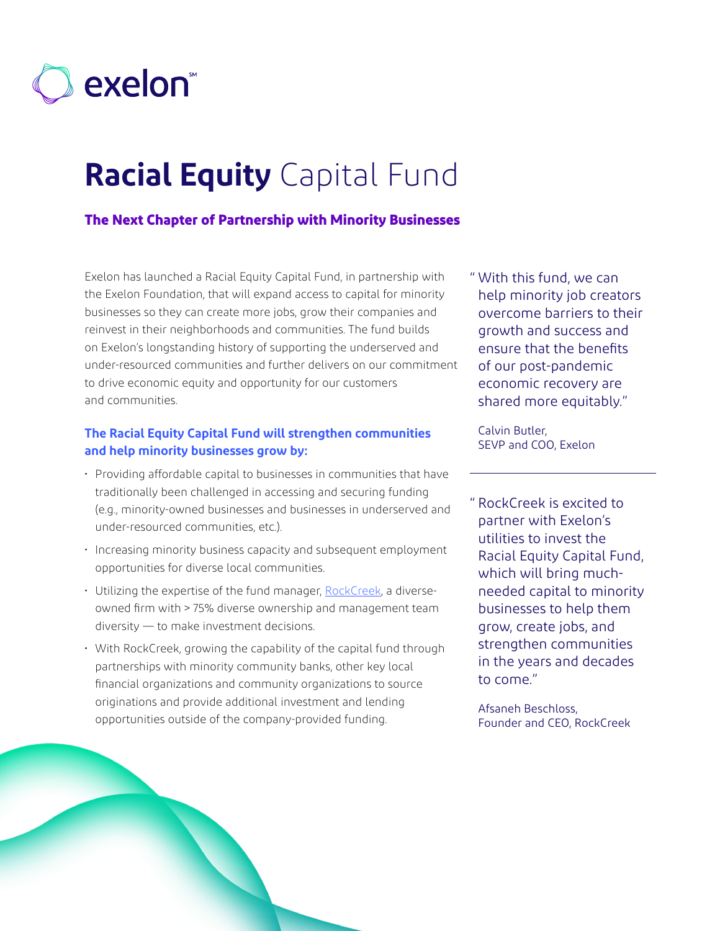

# **Racial Equity** Capital Fund

## **The Next Chapter of Partnership with Minority Businesses**

Exelon has launched a Racial Equity Capital Fund, in partnership with the Exelon Foundation, that will expand access to capital for minority businesses so they can create more jobs, grow their companies and reinvest in their neighborhoods and communities. The fund builds on Exelon's longstanding history of supporting the underserved and under-resourced communities and further delivers on our commitment to drive economic equity and opportunity for our customers and communities.

#### **The Racial Equity Capital Fund will strengthen communities and help minority businesses grow by:**

- Providing affordable capital to businesses in communities that have traditionally been challenged in accessing and securing funding (e.g., minority-owned businesses and businesses in underserved and under-resourced communities, etc.).
- Increasing minority business capacity and subsequent employment opportunities for diverse local communities.
- Utilizing the expertise of the fund manager, [RockCreek](https://therockcreekgroup.com/), a diverseowned firm with > 75% diverse ownership and management team diversity — to make investment decisions.
- With RockCreek, growing the capability of the capital fund through partnerships with minority community banks, other key local financial organizations and community organizations to source originations and provide additional investment and lending opportunities outside of the company-provided funding.

" With this fund, we can help minority job creators overcome barriers to their growth and success and ensure that the benefits of our post-pandemic economic recovery are shared more equitably."

Calvin Butler, SEVP and COO, Exelon

" RockCreek is excited to partner with Exelon's utilities to invest the Racial Equity Capital Fund, which will bring muchneeded capital to minority businesses to help them grow, create jobs, and strengthen communities in the years and decades to come."

Afsaneh Beschloss, Founder and CEO, RockCreek